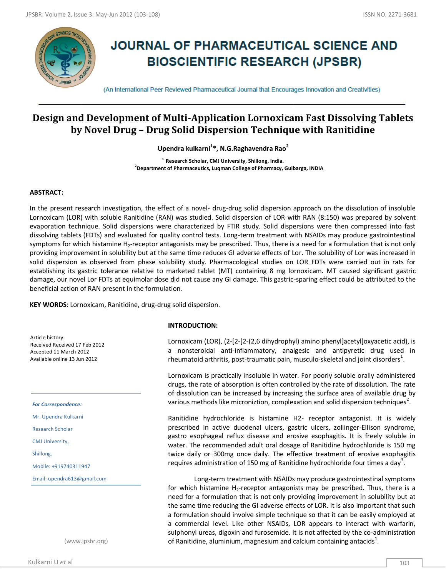

# **JOURNAL OF PHARMACEUTICAL SCIENCE AND BIOSCIENTIFIC RESEARCH (JPSBR)**

(An International Peer Reviewed Pharmaceutical Journal that Encourages Innovation and Creativities)

## **Design and Development of Multi-Application Lornoxicam Fast Dissolving Tablets by Novel Drug – Drug Solid Dispersion Technique with Ranitidine**

**Upendra kulkarni<sup>1</sup> \*, N.G.Raghavendra Rao<sup>2</sup>**

**1 Research Scholar, CMJ University, Shillong, India. 2 Department of Pharmaceutics, Luqman College of Pharmacy, Gulbarga, INDIA**

## **ABSTRACT:**

In the present research investigation, the effect of a novel- drug-drug solid dispersion approach on the dissolution of insoluble Lornoxicam (LOR) with soluble Ranitidine (RAN) was studied. Solid dispersion of LOR with RAN (8:150) was prepared by solvent evaporation technique. Solid dispersions were characterized by FTIR study. Solid dispersions were then compressed into fast dissolving tablets (FDTs) and evaluated for quality control tests. Long-term treatment with NSAIDs may produce gastrointestinal symptoms for which histamine H<sub>2</sub>-receptor antagonists may be prescribed. Thus, there is a need for a formulation that is not only providing improvement in solubility but at the same time reduces GI adverse effects of Lor. The solubility of Lor was increased in solid dispersion as observed from phase solubility study. Pharmacological studies on LOR FDTs were carried out in rats for establishing its gastric tolerance relative to marketed tablet (MT) containing 8 mg lornoxicam. MT caused significant gastric damage, our novel Lor FDTs at equimolar dose did not cause any GI damage. This gastric-sparing effect could be attributed to the beneficial action of RAN present in the formulation.

**KEY WORDS**: Lornoxicam, Ranitidine, drug-drug solid dispersion.

Article history: Received Received 17 Feb 2012 Accepted 11 March 2012 Available online 13 Jun 2012

*For Correspondence:*

Mr. Upendra Kulkarni

Research Scholar

CMJ University,

Shillong.

Mobile: +919740311947

Email: upendra613@gmail.com

(www.jpsbr.org)

#### **INTRODUCTION:**

Lornoxicam (LOR), (2-[2-[2-(2,6 dihydrophyl) amino phenyl]acetyl]oxyacetic acid), is a nonsteroidal anti-inflammatory, analgesic and antipyretic drug used in rheumatoid arthritis, post-traumatic pain, musculo-skeletal and joint disorders $^1$ .

Lornoxicam is practically insoluble in water. For poorly soluble orally administered drugs, the rate of absorption is often controlled by the rate of dissolution. The rate of dissolution can be increased by increasing the surface area of available drug by various methods like microniztion, complexation and solid dispersion techniques<sup>2</sup>.

Ranitidine hydrochloride is histamine H2- receptor antagonist. It is widely prescribed in active duodenal ulcers, gastric ulcers, zollinger-Ellison syndrome, gastro esophageal reflux disease and erosive esophagitis. It is freely soluble in water. The recommended adult oral dosage of Ranitidine hydrochloride is 150 mg twice daily or 300mg once daily. The effective treatment of erosive esophagitis requires administration of 150 mg of Ranitidine hydrochloride four times a day $^3$ .

Long-term treatment with NSAIDs may produce gastrointestinal symptoms for which histamine  $H_2$ -receptor antagonists may be prescribed. Thus, there is a need for a formulation that is not only providing improvement in solubility but at the same time reducing the GI adverse effects of LOR. It is also important that such a formulation should involve simple technique so that it can be easily employed at a commercial level. Like other NSAIDs, LOR appears to interact with warfarin, sulphonyl ureas, digoxin and furosemide. It is not affected by the co-administration of Ranitidine, aluminium, magnesium and calcium containing antacids $^1$ .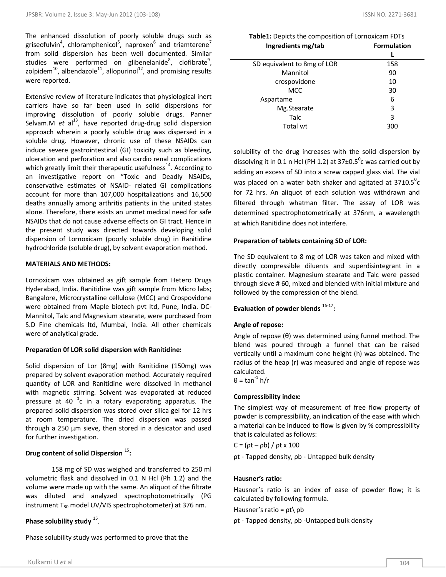The enhanced dissolution of poorly soluble drugs such as griseofulvin<sup>4</sup>, chloramphenicol<sup>5</sup>, naproxen<sup>6</sup> and triamterene<sup>7</sup> from solid dispersion has been well documented. Similar studies were performed on glibenelanide<sup>8</sup>, clofibrate<sup>9</sup>, zolpidem<sup>10</sup>, albendazole<sup>11</sup>, allopurinol<sup>12</sup>, and promising results were reported.

Extensive review of literature indicates that physiological inert carriers have so far been used in solid dispersions for improving dissolution of poorly soluble drugs. Panner Selvam.M  $et$  al<sup>13</sup>, have reported drug-drug solid dispersion approach wherein a poorly soluble drug was dispersed in a soluble drug. However, chronic use of these NSAIDs can induce severe gastrointestinal (GI) toxicity such as bleeding, ulceration and perforation and also cardio renal complications which greatly limit their therapeutic usefulness<sup>14</sup>. According to an investigative report on "Toxic and Deadly NSAIDs, conservative estimates of NSAID- related GI complications account for more than 107,000 hospitalizations and 16,500 deaths annually among arthritis patients in the united states alone. Therefore, there exists an unmet medical need for safe NSAIDs that do not cause adverse effects on GI tract. Hence in the present study was directed towards developing solid dispersion of Lornoxicam (poorly soluble drug) in Ranitidine hydrochloride (soluble drug), by solvent evaporation method.

## **MATERIALS AND METHODS:**

Lornoxicam was obtained as gift sample from Hetero Drugs Hyderabad, India. Ranitidine was gift sample from Micro labs; Bangalore, Microcrystalline cellulose (MCC) and Crospovidone were obtained from Maple biotech pvt ltd, Pune, India. DC-Mannitol, Talc and Magnesium stearate, were purchased from S.D Fine chemicals ltd, Mumbai, India. All other chemicals were of analytical grade.

## **Preparation 0f LOR solid dispersion with Ranitidine:**

Solid dispersion of Lor (8mg) with Ranitidine (150mg) was prepared by solvent evaporation method. Accurately required quantity of LOR and Ranitidine were dissolved in methanol with magnetic stirring. Solvent was evaporated at reduced pressure at 40  $\mathrm{^0c}$  in a rotary evaporating apparatus. The prepared solid dispersion was stored over silica gel for 12 hrs at room temperature. The dried dispersion was passed through a 250 µm sieve, then stored in a desicator and used for further investigation.

## **Drug content of solid Dispersion** <sup>15</sup> **:**

158 mg of SD was weighed and transferred to 250 ml volumetric flask and dissolved in 0.1 N Hcl (Ph 1.2) and the volume were made up with the same. An aliquot of the filtrate was diluted and analyzed spectrophotometrically (PG instrument  $T_{80}$  model UV/VIS spectrophotometer) at 376 nm.

## Phase solubility study <sup>15</sup>.

Phase solubility study was performed to prove that the

**Table1:** Depicts the composition of Lornoxicam FDTs

| Ingredients mg/tab          | <b>Formulation</b> |  |  |
|-----------------------------|--------------------|--|--|
|                             |                    |  |  |
| SD equivalent to 8mg of LOR | 158                |  |  |
| Mannitol                    | 90                 |  |  |
| crospovidone                | 10                 |  |  |
| <b>MCC</b>                  | 30                 |  |  |
| Aspartame                   | 6                  |  |  |
| Mg.Stearate                 | 3                  |  |  |
| Talc                        | 3                  |  |  |
| Total wt                    | 300                |  |  |

solubility of the drug increases with the solid dispersion by dissolving it in 0.1 n Hcl (PH 1.2) at 37±0.5<sup>o</sup>c was carried out by adding an excess of SD into a screw capped glass vial. The vial was placed on a water bath shaker and agitated at 37 $\pm$ 0.5 $^{\circ}$ c for 72 hrs. An aliquot of each solution was withdrawn and filtered through whatman filter. The assay of LOR was determined spectrophotometrically at 376nm, a wavelength at which Ranitidine does not interfere.

## **Preparation of tablets containing SD of LOR:**

The SD equivalent to 8 mg of LOR was taken and mixed with directly compressible diluents and superdisintegrant in a plastic container. Magnesium stearate and Talc were passed through sieve # 60, mixed and blended with initial mixture and followed by the compression of the blend.

**Evaluation of powder blends** 16-17 **:**

## **Angle of repose:**

Angle of repose (θ) was determined using funnel method. The blend was poured through a funnel that can be raised vertically until a maximum cone height (h) was obtained. The radius of the heap (r) was measured and angle of repose was calculated. θ = tan $1$  h/r

## **Compressibility index:**

The simplest way of measurement of free flow property of powder is compressibility, an indication of the ease with which a material can be induced to flow is given by % compressibility that is calculated as follows:

 $C = (pt - pb) / pt \times 100$ 

ρt - Tapped density, ρb - Untapped bulk density

## **Hausner's ratio:**

Hausner's ratio is an index of ease of powder flow; it is calculated by following formula.

Hausner's ratio = ρt\ ρb

ρt - Tapped density, ρb -Untapped bulk density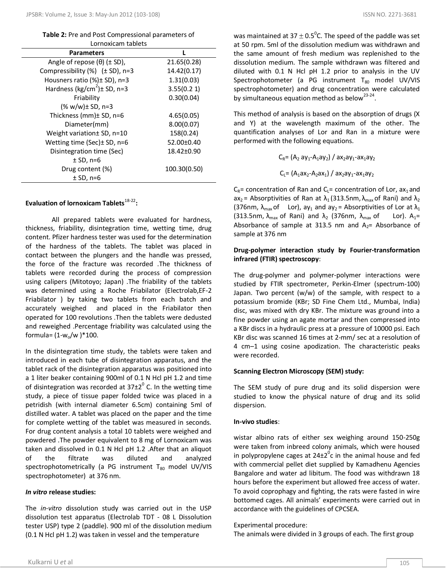**Table 2:** Pre and Post Compressional parameters of Lornoxicam tablets

| <b>Parameters</b>                            |                  |  |  |
|----------------------------------------------|------------------|--|--|
| Angle of repose $(\theta)$ ( $\pm$ SD),      | 21.65(0.28)      |  |  |
| Compressibility $(\%)$ ( $\pm$ SD), n=3      | 14.42(0.17)      |  |  |
| Housners ratio (%)± SD), n=3                 | 1.31(0.03)       |  |  |
| Hardness (kg/cm <sup>2</sup> ) $\pm$ SD, n=3 | 3.55(0.21)       |  |  |
| Friability                                   | 0.30(0.04)       |  |  |
| (% w/w)± SD, n=3                             |                  |  |  |
| Thickness (mm)± SD, n=6                      | 4.65(0.05)       |  |  |
| Diameter(mm)                                 | 8.00(0.07)       |  |  |
| Weight variation ± SD, n=10                  | 158(0.24)        |  |  |
| Wetting time (Sec) $\pm$ SD, n=6             | 52.00±0.40       |  |  |
| Disintegration time (Sec)                    | $18.42 \pm 0.90$ |  |  |
| $±$ SD, n=6                                  |                  |  |  |
| Drug content (%)                             | 100.30(0.50)     |  |  |
| $±$ SD, n=6                                  |                  |  |  |

## Evaluation of lornoxicam Tablets<sup>18-22</sup>:

All prepared tablets were evaluated for hardness, thickness, friability, disintegration time, wetting time, drug content. Pfizer hardness tester was used for the determination of the hardness of the tablets. The tablet was placed in contact between the plungers and the handle was pressed, the force of the fracture was recorded .The thickness of tablets were recorded during the process of compression using calipers (Mitotoyo; Japan) .The friability of the tablets was determined using a Roche Friabilator (Electrolab,EF-2 Friabilator ) by taking two tablets from each batch and accurately weighed and placed in the Friabilator then operated for 100 revolutions .Then the tablets were dedusted and reweighed .Percentage friability was calculated using the formula= $(1-w_0/w)^*100$ .

In the disintegration time study, the tablets were taken and introduced in each tube of disintegration apparatus, and the tablet rack of the disintegration apparatus was positioned into a 1 liter beaker containing 900ml of 0.1 N Hcl pH 1.2 and time of disintegration was recorded at 37 $\pm 2^0$  C. In the wetting time study, a piece of tissue paper folded twice was placed in a petridish (with internal diameter 6.5cm) containing 5ml of distilled water. A tablet was placed on the paper and the time for complete wetting of the tablet was measured in seconds. For drug content analysis a total 10 tablets were weighed and powdered .The powder equivalent to 8 mg of Lornoxicam was taken and dissolved in 0.1 N Hcl pH 1.2 .After that an aliquot of the filtrate was diluted and analyzed spectrophotometrically (a PG instrument  $T_{80}$  model UV/VIS spectrophotometer) at 376 nm.

### *In vitro* **release studies:**

The *in-vitro* dissolution study was carried out in the USP dissolution test apparatus (Electrolab TDT - 08 L Dissolution tester USP) type 2 (paddle). 900 ml of the dissolution medium (0.1 N Hcl pH 1.2) was taken in vessel and the temperature

was maintained at 37  $\pm$  0.5<sup>0</sup>C. The speed of the paddle was set at 50 rpm. 5ml of the dissolution medium was withdrawn and the same amount of fresh medium was replenished to the dissolution medium. The sample withdrawn was filtered and diluted with 0.1 N Hcl pH 1.2 prior to analysis in the UV Spectrophotometer (a PG instrument  $T_{80}$  model UV/VIS spectrophotometer) and drug concentration were calculated by simultaneous equation method as below<sup>23-24</sup>.

This method of analysis is based on the absorption of drugs (X and Y) at the wavelength maximum of the other. The quantification analyses of Lor and Ran in a mixture were performed with the following equations.

$$
C_R = (A_2 ay_1 - A_1ay_2) / ax_2ay_1 - ax_1ay_2
$$
  
 $C_1 = (A_1ax_2 - A_2ax_1) / ax_2ay_1 - ax_1ay_2$ 

 $C_R$ = concentration of Ran and  $C_L$ = concentration of Lor, ax<sub>1</sub> and ax<sub>2</sub> = Absorptivities of Ran at  $\lambda_1$  (313.5nm,  $\lambda_{\text{max}}$  of Rani) and  $\lambda_2$ (376nm,  $\lambda_{\text{max}}$  of Lor), ay<sub>1</sub> and ay<sub>2</sub> = Absorptivities of Lor at  $\lambda_1$ (313.5nm,  $\lambda_{\text{max}}$  of Rani) and  $\lambda_2$  (376nm,  $\lambda_{\text{max}}$  of Lor). A<sub>1</sub>= Absorbance of sample at 313.5 nm and  $A_2$ = Absorbance of sample at 376 nm

## **Drug-polymer interaction study by Fourier-transformation infrared (FTIR) spectroscopy**:

The drug-polymer and polymer-polymer interactions were studied by FTIR spectrometer, Perkin-Elmer (spectrum-100) Japan. Two percent (w/w) of the sample, with respect to a potassium bromide (KBr; SD Fine Chem Ltd., Mumbai, India) disc, was mixed with dry KBr. The mixture was ground into a fine powder using an agate mortar and then compressed into a KBr discs in a hydraulic press at a pressure of 10000 psi. Each KBr disc was scanned 16 times at 2-mm/ sec at a resolution of 4 cm–1 using cosine apodization. The characteristic peaks were recorded.

## **Scanning Electron Microscopy (SEM) study:**

The SEM study of pure drug and its solid dispersion were studied to know the physical nature of drug and its solid dispersion.

## **In-vivo studies**:

wistar albino rats of either sex weighing around 150-250g were taken from inbreed colony animals, which were housed in polypropylene cages at  $24\pm2^0$ c in the animal house and fed with commercial pellet diet supplied by Kamadhenu Agencies Bangalore and water ad libitum. The food was withdrawn 18 hours before the experiment but allowed free access of water. To avoid coprophagy and fighting, the rats were fasted in wire bottomed cages. All animals' experiments were carried out in accordance with the guidelines of CPCSEA.

## Experimental procedure:

The animals were divided in 3 groups of each. The first group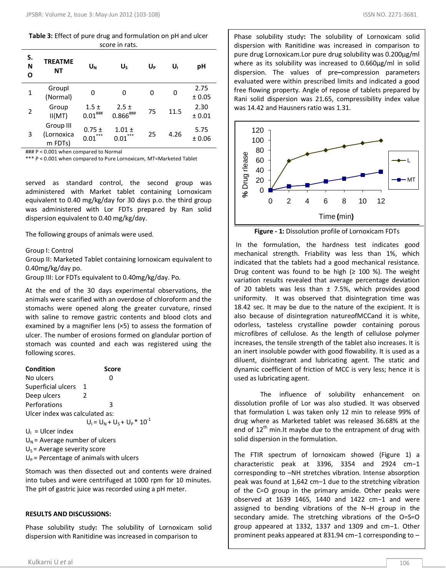**Table 3:** Effect of pure drug and formulation on pH and ulcer score in rats.

| S.<br>N<br>О | <b>TREATME</b><br><b>NT</b>        | $U_{N}$                   | U                          | U <sub>p</sub> | U,   | рH             |
|--------------|------------------------------------|---------------------------|----------------------------|----------------|------|----------------|
| 1            | Groupl<br>(Normal)                 | 0                         | 0                          | 0              | 0    | 2.75<br>± 0.05 |
| 2            | Group<br>II(MT)                    | $1.5 \pm$<br>$0.01^{***}$ | $2.5 \pm$<br>$0.866^{$ ### | 75             | 11.5 | 2.30<br>± 0.01 |
| 3            | Group III<br>(Lornoxica<br>m FDTs) | $0.75 \pm$<br>***<br>0.01 | $1.01 \pm$<br>***<br>0.01  | 25             | 4.26 | 5.75<br>± 0.06 |

### P < 0.001 when compared to Normal

\*\*\* P < 0.001 when compared to Pure Lornoxicam, MT=Marketed Tablet

served as standard control, the second group was administered with Market tablet containing Lornoxicam equivalent to 0.40 mg/kg/day for 30 days p.o. the third group was administered with Lor FDTs prepared by Ran solid dispersion equivalent to 0.40 mg/kg/day.

The following groups of animals were used.

#### Group I: Control

Group II: Marketed Tablet containing lornoxicam equivalent to 0.40mg/kg/day po.

Group III: Lor FDTs equivalent to 0.40mg/kg/day. Po.

At the end of the 30 days experimental observations, the animals were scarified with an overdose of chloroform and the stomachs were opened along the greater curvature, rinsed with saline to remove gastric contents and blood clots and examined by a magnifier lens (×5) to assess the formation of ulcer. The number of erosions formed on glandular portion of stomach was counted and each was registered using the following scores.

| <b>Condition</b>                 | Score                             |  |  |  |
|----------------------------------|-----------------------------------|--|--|--|
| No ulcers                        | O                                 |  |  |  |
| Superficial ulcers               | 1                                 |  |  |  |
| Deep ulcers                      | 2                                 |  |  |  |
| Perforations                     | ς                                 |  |  |  |
| Ulcer index was calculated as:   |                                   |  |  |  |
|                                  | $U_1 = U_N + U_S + U_P * 10^{-1}$ |  |  |  |
| $U_1$ = Ulcer index              |                                   |  |  |  |
| $U_N$ = Average number of ulcers |                                   |  |  |  |
|                                  |                                   |  |  |  |

 $U<sub>S</sub>$  = Average severity score

 $U_P$  = Percentage of animals with ulcers

Stomach was then dissected out and contents were drained into tubes and were centrifuged at 1000 rpm for 10 minutes. The pH of gastric juice was recorded using a pH meter.

## **RESULTS AND DISCUSSIONS:**

Phase solubility study**:** The solubility of Lornoxicam solid dispersion with Ranitidine was increased in comparison to

Phase solubility study**:** The solubility of Lornoxicam solid dispersion with Ranitidine was increased in comparison to pure drug Lornoxicam.Lor pure drug solubility was 0.200µg/ml where as its solubility was increased to 0.660µg/ml in solid dispersion. The values of pre**–**compression parameters evaluated were within prescribed limits and indicated a good free flowing property. Angle of repose of tablets prepared by Rani solid dispersion was 21.65, compressibility index value was 14.42 and Hausners ratio was 1.31.



**Figure - 1:** Dissolution profile of Lornoxicam FDTs

In the formulation, the hardness test indicates good mechanical strength. Friability was less than 1%, which indicated that the tablets had a good mechanical resistance. Drug content was found to be high ( $\geq$  100 %). The weight variation results revealed that average percentage deviation of 20 tablets was less than  $\pm$  7.5%, which provides good uniformity. It was observed that disintegration time was 18.42 sec. It may be due to the nature of the excipient. It is also because of disintegration natureofMCCand it is white, odorless, tasteless crystalline powder containing porous microfibres of cellulose. As the length of cellulose polymer increases, the tensile strength of the tablet also increases. It is an inert insoluble powder with good flowability. It is used as a diluent, disintegrant and lubricating agent. The static and dynamic coefficient of friction of MCC is very less; hence it is used as lubricating agent.

The influence of solubility enhancement on dissolution profile of Lor was also studied. It was observed that formulation L was taken only 12 min to release 99% of drug where as Marketed tablet was released 36.68% at the end of  $12<sup>th</sup>$  min.It maybe due to the entrapment of drug with solid dispersion in the formulation.

The FTIR spectrum of lornoxicam showed (Figure 1) a characteristic peak at 3396, 3354 and 2924 cm−1 corresponding to –NH stretches vibration. Intense absorption peak was found at 1,642 cm−1 due to the stretching vibration of the C=O group in the primary amide. Other peaks were observed at 1639 1465, 1440 and 1422 cm−1 and were assigned to bending vibrations of the N–H group in the secondary amide. The stretching vibrations of the O=S=O group appeared at 1332, 1337 and 1309 and cm−1. Other prominent peaks appeared at 831.94 cm−1 corresponding to –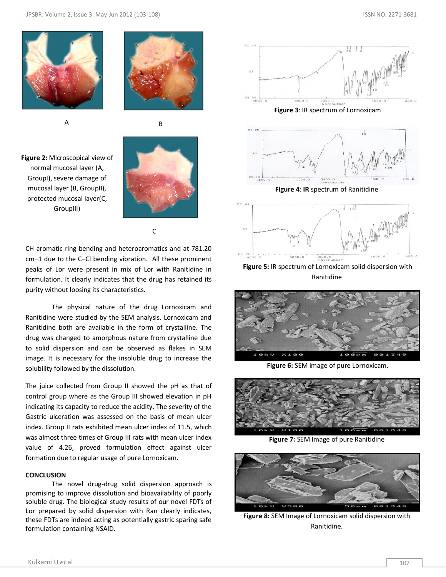![](_page_4_Picture_2.jpeg)

![](_page_4_Picture_3.jpeg)

![](_page_4_Picture_4.jpeg)

**Figure 2:** Microscopical view of normal mucosal layer (A, GroupI), severe damage of mucosal layer (B, GroupII), protected mucosal layer(C, GroupIII)

![](_page_4_Picture_6.jpeg)

C

CH aromatic ring bending and heteroaromatics and at 781.20 cm−1 due to the C–Cl bending vibration. All these prominent peaks of Lor were present in mix of Lor with Ranitidine in formulation. It clearly indicates that the drug has retained its purity without loosing its characteristics.

The physical nature of the drug Lornoxicam and Ranitidine were studied by the SEM analysis. Lornoxicam and Ranitidine both are available in the form of crystalline. The drug was changed to amorphous nature from crystalline due to solid dispersion and can be observed as flakes in SEM image. It is necessary for the insoluble drug to increase the solubility followed by the dissolution.

The juice collected from Group II showed the pH as that of control group where as the Group III showed elevation in pH indicating its capacity to reduce the acidity. The severity of the Gastric ulceration was assessed on the basis of mean ulcer index. Group II rats exhibited mean ulcer index of 11.5, which was almost three times of Group III rats with mean ulcer index value of 4.26, proved formulation effect against ulcer formation due to regular usage of pure Lornoxicam.

## **CONCLUSION**

The novel drug-drug solid dispersion approach is promising to improve dissolution and bioavailability of poorly soluble drug. The biological study results of our novel FDTs of Lor prepared by solid dispersion with Ran clearly indicates, these FDTs are indeed acting as potentially gastric sparing safe formulation containing NSAID.

![](_page_4_Figure_13.jpeg)

![](_page_4_Figure_14.jpeg)

**Figure 5:** IR spectrum of Lornoxicam solid dispersion with Ranitidine

![](_page_4_Picture_16.jpeg)

**Figure 6:** SEM image of pure Lornoxicam.

![](_page_4_Picture_18.jpeg)

**Figure 7:** SEM Image of pure Ranitidine

![](_page_4_Picture_20.jpeg)

**Figure 8:** SEM Image of Lornoxicam solid dispersion with Ranitidine.